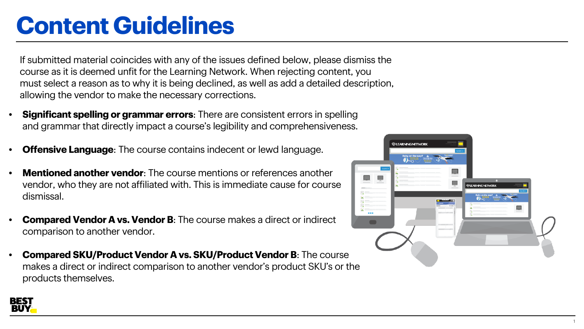# **Content Guidelines**

If submitted material coincides with any of the issues defined below, please dismiss the course as it is deemed unfit for the Learning Network. When rejecting content, you must select a reason as to why it is being declined, as well as add a detailed description, allowing the vendor to make the necessary corrections.

- **Significant spelling or grammar errors**: There are consistent errors in spelling and grammar that directly impact a course's legibility and comprehensiveness.
- **Offensive Language:** The course contains indecent or lewd language.
- **Mentioned another vendor**: The course mentions or references another vendor, who they are not affiliated with. This is immediate cause for course dismissal.
- **Compared Vendor A vs. Vendor B**: The course makes a direct or indirect comparison to another vendor.
- **Compared SKU/Product Vendor A vs. SKU/Product Vendor B**: The course makes a direct or indirect comparison to another vendor's product SKU's or the products themselves.



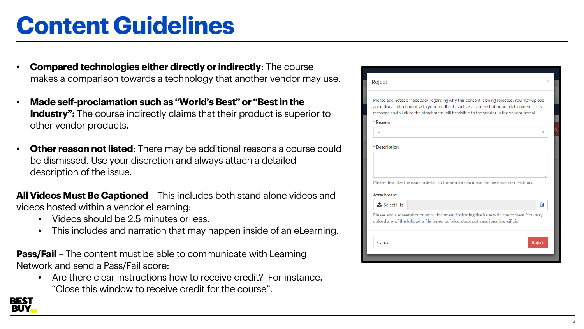# **Content Guidelines**

- **Compared technologies either directly or indirectly**: The course makes a comparison towards a technology that another vendor may use.
- **Made self-proclamation such as "World's Best" or "Best in the Industry":** The course indirectly claims that their product is superior to other vendor products.
- **Other reason not listed**: There may be additional reasons a course could be dismissed. Use your discretion and always attach a detailed description of the issue.

**All Videos Must Be Captioned** – This includes both stand alone videos and videos hosted within a vendor eLearning:

- Videos should be 2.5 minutes or less.
- This includes and narration that may happen inside of an eLearning.

**Pass/Fail** – The content must be able to communicate with Learning Network and send a Pass/Fail score:

• Are there clear instructions how to receive credit? For instance, "Close this window to receive credit for the course".

| Reject                                                                                                                                                                                                                                                                          | ×      |
|---------------------------------------------------------------------------------------------------------------------------------------------------------------------------------------------------------------------------------------------------------------------------------|--------|
| Please add notes or feedback regarding why this content is being rejected. You may upload<br>an optional attachment with your feedback, such as a screenshot or word document. This<br>message and a link to the attachment will be visible to the vendor in the vendor portal. |        |
| * Reason                                                                                                                                                                                                                                                                        |        |
|                                                                                                                                                                                                                                                                                 |        |
| * Description                                                                                                                                                                                                                                                                   |        |
|                                                                                                                                                                                                                                                                                 |        |
| Please describe the issue in detail so the vendor can make the necessary corrections.                                                                                                                                                                                           |        |
| <b>Attachment</b>                                                                                                                                                                                                                                                               |        |
| <b>1</b> Select File                                                                                                                                                                                                                                                            | ⋒      |
| Please add a screenshot or word document indicating the issue with the content. You may<br>upload any of the following file types: pdf, doc, docx, ppt, png, jpeg, jpg, gif, zip.                                                                                               |        |
| Cancel                                                                                                                                                                                                                                                                          | Reject |

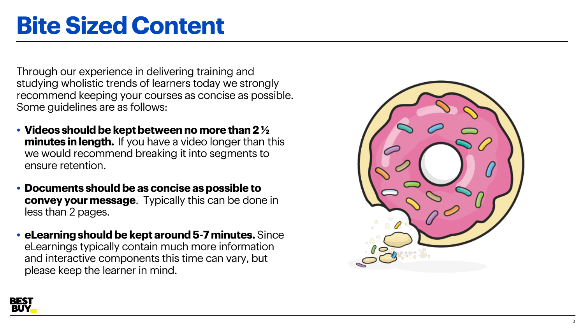# **Bite Sized Content**

Through our experience in delivering training and studying wholistic trends of learners today we strongly recommend keeping your courses as concise as possible. Some guidelines are as follows:

- **Videos should be kept between no more than 2 ½ minutes in length.** If you have a video longer than this we would recommend breaking it into segments to en s u re retention.
- **Documents should be as concise as possible to convey your message**. Typically this can be done in less than 2 pages.
- **eLearning should be kept around 5-7 minutes.** Si n c e eLearnings typically contain much more info rmation and interactive components this time can vary, but please keep the learner in mind.